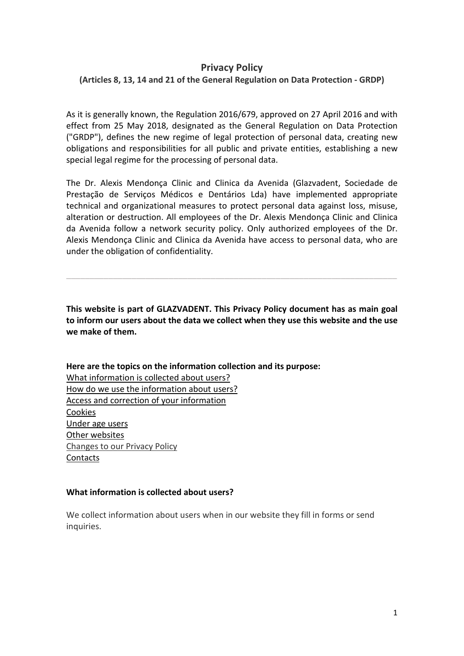# **Privacy Policy**

## **(Articles 8, 13, 14 and 21 of the General Regulation on Data Protection - GRDP)**

As it is generally known, the Regulation 2016/679, approved on 27 April 2016 and with effect from 25 May 2018, designated as the General Regulation on Data Protection ("GRDP"), defines the new regime of legal protection of personal data, creating new obligations and responsibilities for all public and private entities, establishing a new special legal regime for the processing of personal data.

The Dr. Alexis Mendonça Clinic and Clinica da Avenida (Glazvadent, Sociedade de Prestação de Serviços Médicos e Dentários Lda) have implemented appropriate technical and organizational measures to protect personal data against loss, misuse, alteration or destruction. All employees of the Dr. Alexis Mendonça Clinic and Clinica da Avenida follow a network security policy. Only authorized employees of the Dr. Alexis Mendonça Clinic and Clinica da Avenida have access to personal data, who are under the obligation of confidentiality.

**This website is part of GLAZVADENT. This Privacy Policy document has as main goal to inform our users about the data we collect when they use this website and the use we make of them.** 

\_\_\_\_\_\_\_\_\_\_\_\_\_\_\_\_\_\_\_\_\_\_\_\_\_\_\_\_\_\_\_\_\_\_\_\_\_\_\_\_\_\_\_\_\_\_\_\_\_\_\_\_\_\_\_\_\_\_\_\_\_\_\_\_\_\_\_\_\_\_\_

**Here are the topics on the information collection and its purpose:** What information is collected about users? How do we use the information about users? Access and correction of your information Cookies Under age users Other websites Changes to our Privacy Policy **[Contacts](https://www.buss.pt/en/politica-de-privacidade-cookies/#4en)** 

#### **What information is collected about users?**

We collect information about users when in our website they fill in forms or send inquiries.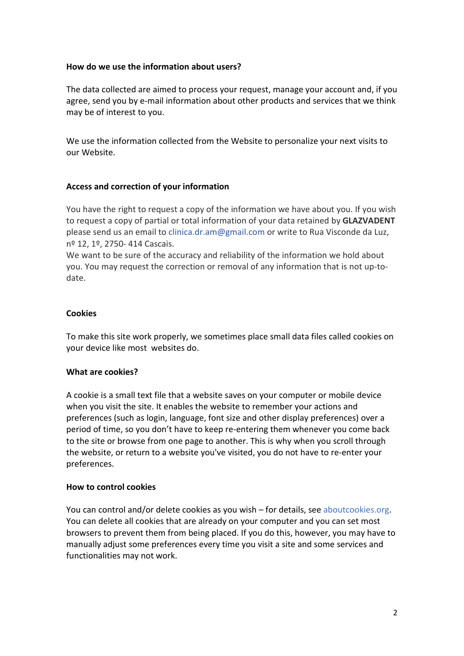### **How do we use the information about users?**

The data collected are aimed to process your request, manage your account and, if you agree, send you by e-mail information about other products and services that we think may be of interest to you.

We use the information collected from the Website to personalize your next visits to our Website.

# **Access and correction of your information**

You have the right to request a copy of the information we have about you. If you wish to request a copy of partial or total information of your data retained by **GLAZVADENT** please send us an email to [clinica.dr.am@gmail.com](mailto:clinica.dr.am@gmail.com) or write to Rua Visconde da Luz, nº 12, 1º, 2750- 414 Cascais.

We want to be sure of the accuracy and reliability of the information we hold about you. You may request the correction or removal of any information that is not up-todate.

### **Cookies**

To make this site work properly, we sometimes place small data files called cookies on your device like most websites do.

### **What are cookies?**

A cookie is a small text file that a website saves on your computer or mobile device when you visit the site. It enables the website to remember your actions and preferences (such as login, language, font size and other display preferences) over a period of time, so you don't have to keep re-entering them whenever you come back to the site or browse from one page to another. This is why when you scroll through the website, or return to a website you've visited, you do not have to re-enter your preferences.

### **How to control cookies**

You can control and/or delete cookies as you wish – for details, see [aboutcookies.org.](https://www.aboutcookies.org/) You can delete all cookies that are already on your computer and you can set most browsers to prevent them from being placed. If you do this, however, you may have to manually adjust some preferences every time you visit a site and some services and functionalities may not work.